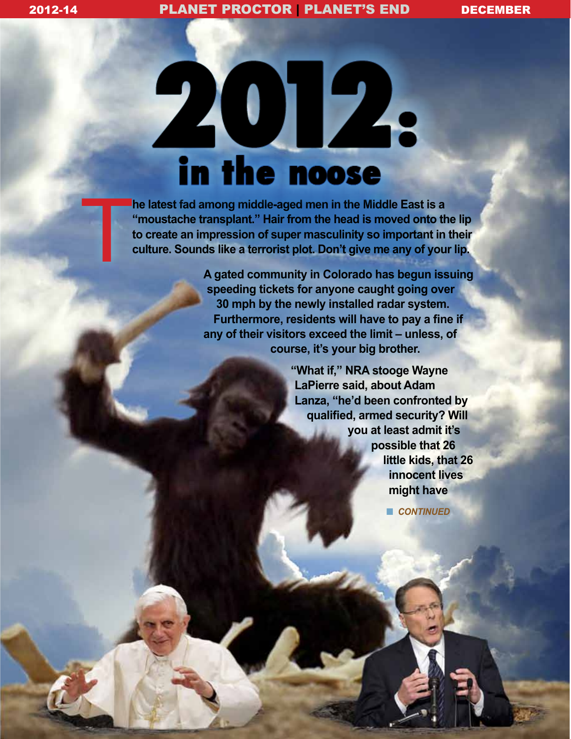# 2012. in the noose

T **he latest fad among middle-aged men in the Middle East is a "moustache transplant." Hair from the head is moved onto the lip to create an impression of super masculinity so important in their culture. Sounds like a terrorist plot. Don't give me any of your lip.**

**A gated community in Colorado has begun issuing speeding tickets for anyone caught going over 30 mph by the newly installed radar system. Furthermore, residents will have to pay a fine if any of their visitors exceed the limit – unless, of course, it's your big brother.** 

> **"What if," NRA stooge Wayne LaPierre said, about Adam Lanza, "he'd been confronted by qualified, armed security? Will you at least admit it's possible that 26 little kids, that 26 innocent lives might have**

> > **n** *CONTINUED*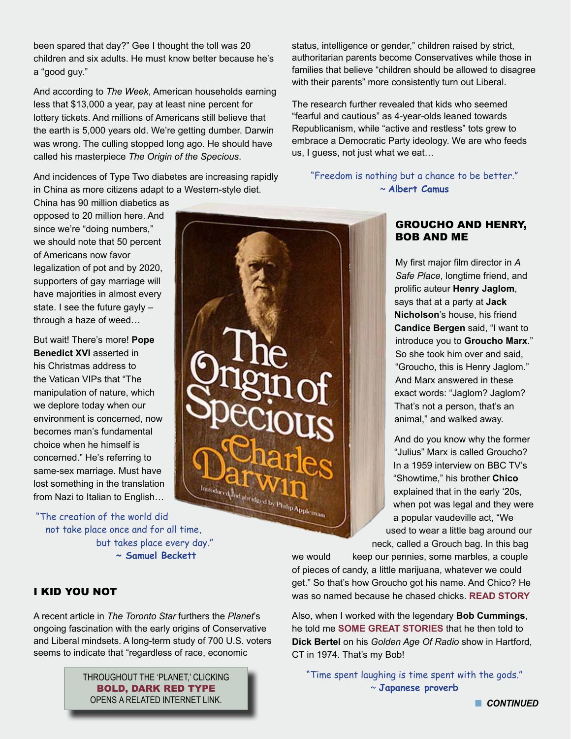been spared that day?" Gee I thought the toll was 20 children and six adults. He must know better because he's a "good guy."

And according to *The Week*, American households earning less that \$13,000 a year, pay at least nine percent for lottery tickets. And millions of Americans still believe that the earth is 5,000 years old. We're getting dumber. Darwin was wrong. The culling stopped long ago. He should have called his masterpiece *The Origin of the Specious*.

And incidences of Type Two diabetes are increasing rapidly in China as more citizens adapt to a Western-style diet.

China has 90 million diabetics as opposed to 20 million here. And since we're "doing numbers," we should note that 50 percent of Americans now favor legalization of pot and by 2020, supporters of gay marriage will have majorities in almost every state. I see the future gayly – through a haze of weed…

But wait! There's more! **Pope Benedict XVI** asserted in his Christmas address to the Vatican VIPs that "The manipulation of nature, which we deplore today when our environment is concerned, now becomes man's fundamental choice when he himself is concerned." He's referring to same-sex marriage. Must have lost something in the translation from Nazi to Italian to English…

"The creation of the world did not take place once and for all time, but takes place every day." **~ Samuel Beckett**

status, intelligence or gender," children raised by strict, authoritarian parents become Conservatives while those in families that believe "children should be allowed to disagree with their parents" more consistently turn out Liberal.

The research further revealed that kids who seemed "fearful and cautious" as 4-year-olds leaned towards Republicanism, while "active and restless" tots grew to embrace a Democratic Party ideology. We are who feeds us, I guess, not just what we eat…

"Freedom is nothing but a chance to be better." ~ **Albert Camus**

#### GROUCHO AND HENRY, BOB AND ME

My first major film director in *A Safe Place*, longtime friend, and prolific auteur **Henry Jaglom**, says that at a party at **Jack Nicholson**'s house, his friend **Candice Bergen** said, "I want to introduce you to **Groucho Marx**." So she took him over and said, "Groucho, this is Henry Jaglom." And Marx answered in these exact words: "Jaglom? Jaglom? That's not a person, that's an animal," and walked away.

And do you know why the former "Julius" Marx is called Groucho? In a 1959 interview on BBC TV's "Showtime," his brother **Chico** explained that in the early '20s, when pot was legal and they were a popular vaudeville act, "We used to wear a little bag around our neck, called a Grouch bag. In this bag

we would keep our pennies, some marbles, a couple of pieces of candy, a little marijuana, whatever we could get." So that's how Groucho got his name. And Chico? He was so named because he chased chicks. **[READ STORY](http://www.veryimportantpotheads.com/site/groucho.htm)**

Also, when I worked with the legendary **Bob Cummings**, he told me **[SOME GREAT STORIES](http://www.goldenage-wtic.org/gaor-52.html)** that he then told to **Dick Bertel** on his *Golden Age Of Radio* show in Hartford, CT in 1974. That's my Bob!

"Time spent laughing is time spent with the gods." ~ **Japanese proverb**

#### I KID YOU NOT

A recent article in *The Toronto Star* furthers the *Planet*'s ongoing fascination with the early origins of Conservative and Liberal mindsets. A long-term study of 700 U.S. voters seems to indicate that "regardless of race, economic

> THROUGHOUT THE 'PLANET,' CLICKING BOLD, DARK RED TYPE OPENS A RELATED INTERNET LINK.

**n** CONTINUED

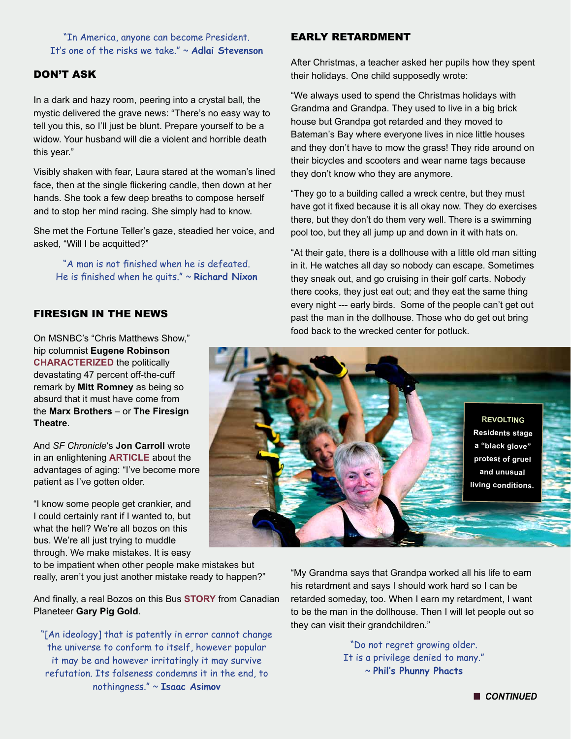"In America, anyone can become President. It's one of the risks we take." ~ **Adlai Stevenson**

#### DON'T ASK

In a dark and hazy room, peering into a crystal ball, the mystic delivered the grave news: "There's no easy way to tell you this, so I'll just be blunt. Prepare yourself to be a widow. Your husband will die a violent and horrible death this year."

Visibly shaken with fear, Laura stared at the woman's lined face, then at the single flickering candle, then down at her hands. She took a few deep breaths to compose herself and to stop her mind racing. She simply had to know.

She met the Fortune Teller's gaze, steadied her voice, and asked, "Will I be acquitted?"

"A man is not finished when he is defeated. He is finished when he quits." ~ **Richard Nixon**

#### FIRESIGN IN THE NEWS

On MSNBC's "Chris Matthews Show" hip columnist **Eugene Robinson [CHARACTERIZED](http://www.msnbc.msn.com/id/3036697/ns/msnbc_tvhardball_with_chris_matthews#50151852)** the politically devastating 47 percent off-the-cuff remark by **Mitt Romney** as being so absurd that it must have come from the **Marx Brothers** – or **The Firesign Theatre**.

And *SF Chronicle*'s **Jon Carroll** wrote in an enlightening **[ARTICLE](http://www.sfgate.com/entertainment/carroll/article/The-advantages-of-growing-old-4132963.php)** about the advantages of aging: "I've become more patient as I've gotten older.

"I know some people get crankier, and I could certainly rant if I wanted to, but what the hell? We're all bozos on this bus. We're all just trying to muddle through. We make mistakes. It is easy

to be impatient when other people make mistakes but really, aren't you just another mistake ready to happen?"

And finally, a real Bozos on this Bus **[STORY](http://www.newyorkwaste.com/nyw_main/NYWaste-Winter2012/2012-Winter-Waste-P23.html)** from Canadian Planeteer **Gary Pig Gold**.

"[An ideology] that is patently in error cannot change the universe to conform to itself, however popular it may be and however irritatingly it may survive refutation. Its falseness condemns it in the end, to nothingness." ~ **Isaac Asimov**

#### EARLY RETARDMENT

After Christmas, a teacher asked her pupils how they spent their holidays. One child supposedly wrote:

"We always used to spend the Christmas holidays with Grandma and Grandpa. They used to live in a big brick house but Grandpa got retarded and they moved to Bateman's Bay where everyone lives in nice little houses and they don't have to mow the grass! They ride around on their bicycles and scooters and wear name tags because they don't know who they are anymore.

"They go to a building called a wreck centre, but they must have got it fixed because it is all okay now. They do exercises there, but they don't do them very well. There is a swimming pool too, but they all jump up and down in it with hats on.

"At their gate, there is a dollhouse with a little old man sitting in it. He watches all day so nobody can escape. Sometimes they sneak out, and go cruising in their golf carts. Nobody there cooks, they just eat out; and they eat the same thing every night --- early birds. Some of the people can't get out past the man in the dollhouse. Those who do get out bring food back to the wrecked center for potluck.



"My Grandma says that Grandpa worked all his life to earn his retardment and says I should work hard so I can be retarded someday, too. When I earn my retardment, I want to be the man in the dollhouse. Then I will let people out so they can visit their grandchildren."

> "Do not regret growing older. It is a privilege denied to many." ~ **Phil's Phunny Phacts**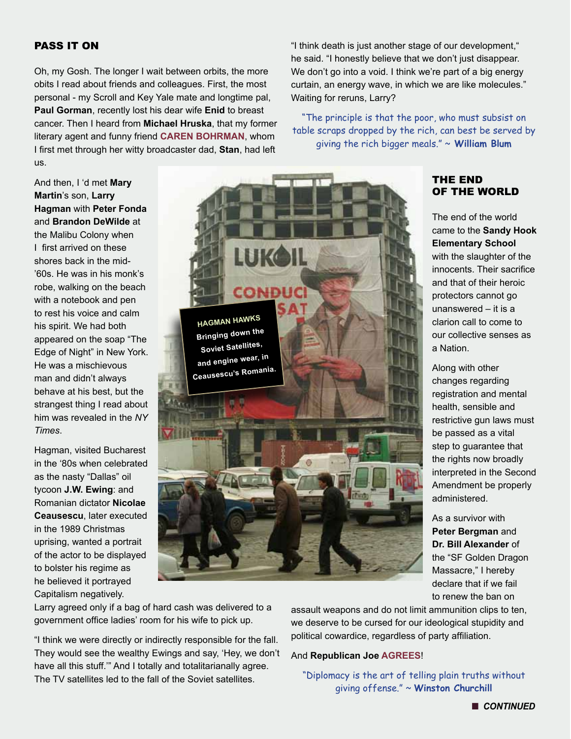#### PASS IT ON

Oh, my Gosh. The longer I wait between orbits, the more obits I read about friends and colleagues. First, the most personal - my Scroll and Key Yale mate and longtime pal, **Paul Gorman**, recently lost his dear wife **Enid** to breast cancer. Then I heard from **Michael Hruska**, that my former literary agent and funny friend **[CAREN BOHRMAN](http://www.mediabistro.com/fishbowlla/caren-bohrman-rip_b75986)**, whom I first met through her witty broadcaster dad, **Stan**, had left us.

And then, I 'd met **Mary Martin**'s son, **Larry Hagman** with **Peter Fonda** and **Brandon DeWilde** at the Malibu Colony when I first arrived on these shores back in the mid- '60s. He was in his monk's robe, walking on the beach with a notebook and pen to rest his voice and calm his spirit. We had both appeared on the soap "The Edge of Night" in New York. He was a mischievous man and didn't always behave at his best, but the strangest thing I read about him was revealed in the *NY Times*.

Hagman, visited Bucharest in the '80s when celebrated as the nasty "Dallas" oil tycoon **J.W. Ewing**: and Romanian dictator **Nicolae Ceausescu**, later executed in the 1989 Christmas uprising, wanted a portrait of the actor to be displayed to bolster his regime as he believed it portrayed Capitalism negatively.



"I think death is just another stage of our development," he said. "I honestly believe that we don't just disappear. We don't go into a void. I think we're part of a big energy curtain, an energy wave, in which we are like molecules." Waiting for reruns, Larry?

"The principle is that the poor, who must subsist on table scraps dropped by the rich, can best be served by giving the rich bigger meals." ~ **William Blum**

#### THE END OF THE WORLD

The end of the world came to the **Sandy Hook Elementary School** with the slaughter of the innocents. Their sacrifice and that of their heroic protectors cannot go unanswered – it is a clarion call to come to our collective senses as a Nation.

Along with other changes regarding registration and mental health, sensible and restrictive gun laws must be passed as a vital step to guarantee that the rights now broadly interpreted in the Second Amendment be properly administered.

As a survivor with **Peter Bergman** and **Dr. Bill Alexander** of the "SF Golden Dragon Massacre," I hereby declare that if we fail to renew the ban on

Larry agreed only if a bag of hard cash was delivered to a government office ladies' room for his wife to pick up.

"I think we were directly or indirectly responsible for the fall. They would see the wealthy Ewings and say, 'Hey, we don't have all this stuff.'" And I totally and totalitarianally agree. The TV satellites led to the fall of the Soviet satellites.

assault weapons and do not limit ammunition clips to ten, we deserve to be cursed for our ideological stupidity and political cowardice, regardless of party affiliation.

#### And **Republican Joe [AGREES](http://video.msnbc.msn.com/morning-joe/50222624)**!

"Diplomacy is the art of telling plain truths without giving offense." ~ **Winston Churchill**